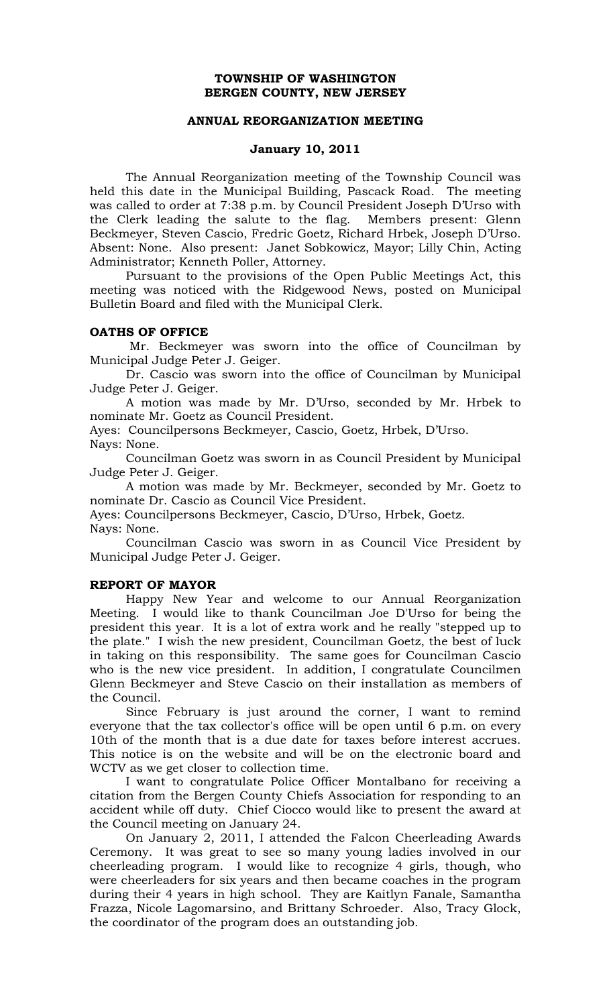## **TOWNSHIP OF WASHINGTON BERGEN COUNTY, NEW JERSEY**

## **ANNUAL REORGANIZATION MEETING**

## **January 10, 2011**

The Annual Reorganization meeting of the Township Council was held this date in the Municipal Building, Pascack Road. The meeting was called to order at 7:38 p.m. by Council President Joseph D'Urso with the Clerk leading the salute to the flag. Members present: Glenn Beckmeyer, Steven Cascio, Fredric Goetz, Richard Hrbek, Joseph D'Urso. Absent: None. Also present: Janet Sobkowicz, Mayor; Lilly Chin, Acting Administrator; Kenneth Poller, Attorney.

 Pursuant to the provisions of the Open Public Meetings Act, this meeting was noticed with the Ridgewood News, posted on Municipal Bulletin Board and filed with the Municipal Clerk.

#### **OATHS OF OFFICE**

 Mr. Beckmeyer was sworn into the office of Councilman by Municipal Judge Peter J. Geiger.

Dr. Cascio was sworn into the office of Councilman by Municipal Judge Peter J. Geiger.

A motion was made by Mr. D'Urso, seconded by Mr. Hrbek to nominate Mr. Goetz as Council President.

Ayes: Councilpersons Beckmeyer, Cascio, Goetz, Hrbek, D'Urso. Nays: None.

Councilman Goetz was sworn in as Council President by Municipal Judge Peter J. Geiger.

 A motion was made by Mr. Beckmeyer, seconded by Mr. Goetz to nominate Dr. Cascio as Council Vice President.

Ayes: Councilpersons Beckmeyer, Cascio, D'Urso, Hrbek, Goetz. Nays: None.

Councilman Cascio was sworn in as Council Vice President by Municipal Judge Peter J. Geiger.

## **REPORT OF MAYOR**

 Happy New Year and welcome to our Annual Reorganization Meeting. I would like to thank Councilman Joe D'Urso for being the president this year. It is a lot of extra work and he really "stepped up to the plate." I wish the new president, Councilman Goetz, the best of luck in taking on this responsibility. The same goes for Councilman Cascio who is the new vice president. In addition, I congratulate Councilmen Glenn Beckmeyer and Steve Cascio on their installation as members of the Council.

 Since February is just around the corner, I want to remind everyone that the tax collector's office will be open until 6 p.m. on every 10th of the month that is a due date for taxes before interest accrues. This notice is on the website and will be on the electronic board and WCTV as we get closer to collection time.

I want to congratulate Police Officer Montalbano for receiving a citation from the Bergen County Chiefs Association for responding to an accident while off duty. Chief Ciocco would like to present the award at the Council meeting on January 24.

On January 2, 2011, I attended the Falcon Cheerleading Awards Ceremony. It was great to see so many young ladies involved in our cheerleading program. I would like to recognize 4 girls, though, who were cheerleaders for six years and then became coaches in the program during their 4 years in high school. They are Kaitlyn Fanale, Samantha Frazza, Nicole Lagomarsino, and Brittany Schroeder. Also, Tracy Glock, the coordinator of the program does an outstanding job.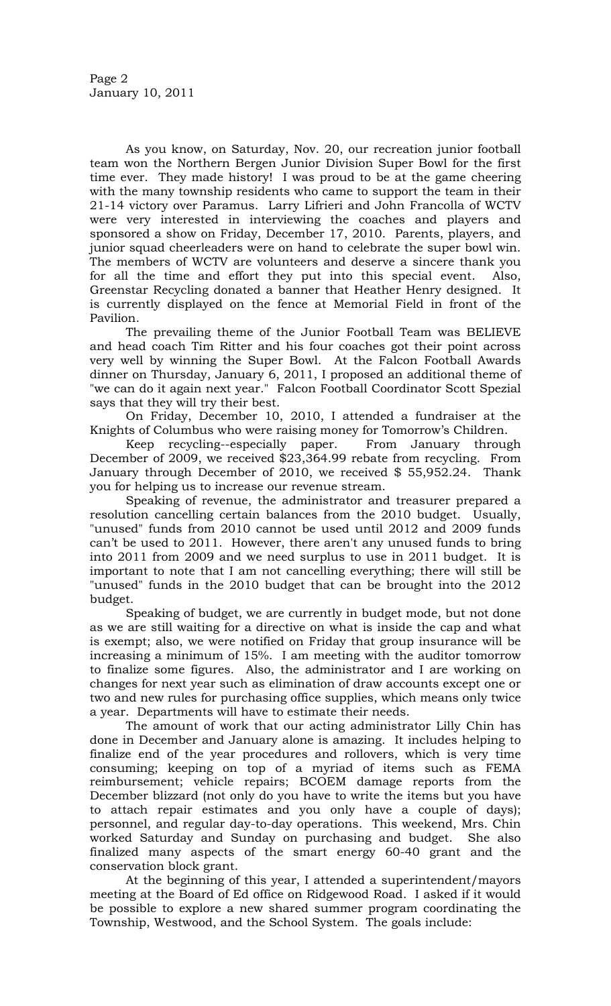As you know, on Saturday, Nov. 20, our recreation junior football team won the Northern Bergen Junior Division Super Bowl for the first time ever. They made history! I was proud to be at the game cheering with the many township residents who came to support the team in their 21-14 victory over Paramus. Larry Lifrieri and John Francolla of WCTV were very interested in interviewing the coaches and players and sponsored a show on Friday, December 17, 2010. Parents, players, and junior squad cheerleaders were on hand to celebrate the super bowl win. The members of WCTV are volunteers and deserve a sincere thank you for all the time and effort they put into this special event. Also, Greenstar Recycling donated a banner that Heather Henry designed. It is currently displayed on the fence at Memorial Field in front of the Pavilion.

The prevailing theme of the Junior Football Team was BELIEVE and head coach Tim Ritter and his four coaches got their point across very well by winning the Super Bowl. At the Falcon Football Awards dinner on Thursday, January 6, 2011, I proposed an additional theme of "we can do it again next year." Falcon Football Coordinator Scott Spezial says that they will try their best.

On Friday, December 10, 2010, I attended a fundraiser at the Knights of Columbus who were raising money for Tomorrow's Children.

Keep recycling--especially paper. From January through December of 2009, we received \$23,364.99 rebate from recycling. From January through December of 2010, we received \$ 55,952.24. Thank you for helping us to increase our revenue stream.

Speaking of revenue, the administrator and treasurer prepared a resolution cancelling certain balances from the 2010 budget. Usually, "unused" funds from 2010 cannot be used until 2012 and 2009 funds can't be used to 2011. However, there aren't any unused funds to bring into 2011 from 2009 and we need surplus to use in 2011 budget. It is important to note that I am not cancelling everything; there will still be "unused" funds in the 2010 budget that can be brought into the 2012 budget.

Speaking of budget, we are currently in budget mode, but not done as we are still waiting for a directive on what is inside the cap and what is exempt; also, we were notified on Friday that group insurance will be increasing a minimum of 15%. I am meeting with the auditor tomorrow to finalize some figures. Also, the administrator and I are working on changes for next year such as elimination of draw accounts except one or two and new rules for purchasing office supplies, which means only twice a year. Departments will have to estimate their needs.

The amount of work that our acting administrator Lilly Chin has done in December and January alone is amazing. It includes helping to finalize end of the year procedures and rollovers, which is very time consuming; keeping on top of a myriad of items such as FEMA reimbursement; vehicle repairs; BCOEM damage reports from the December blizzard (not only do you have to write the items but you have to attach repair estimates and you only have a couple of days); personnel, and regular day-to-day operations. This weekend, Mrs. Chin worked Saturday and Sunday on purchasing and budget. She also finalized many aspects of the smart energy 60-40 grant and the conservation block grant.

 At the beginning of this year, I attended a superintendent/mayors meeting at the Board of Ed office on Ridgewood Road. I asked if it would be possible to explore a new shared summer program coordinating the Township, Westwood, and the School System. The goals include: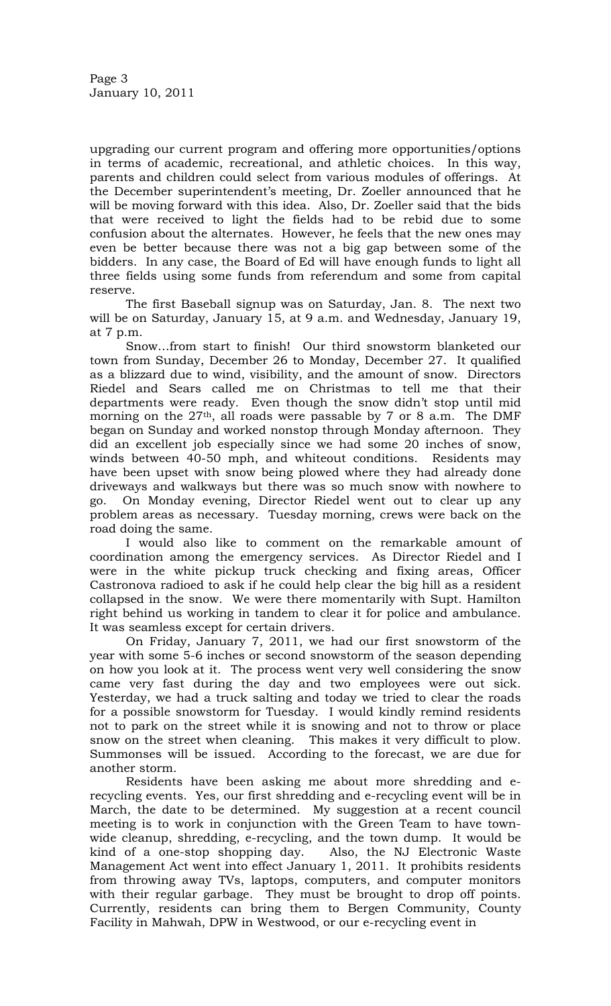upgrading our current program and offering more opportunities/options in terms of academic, recreational, and athletic choices. In this way, parents and children could select from various modules of offerings. At the December superintendent's meeting, Dr. Zoeller announced that he will be moving forward with this idea. Also, Dr. Zoeller said that the bids that were received to light the fields had to be rebid due to some confusion about the alternates. However, he feels that the new ones may even be better because there was not a big gap between some of the bidders. In any case, the Board of Ed will have enough funds to light all three fields using some funds from referendum and some from capital reserve.

 The first Baseball signup was on Saturday, Jan. 8. The next two will be on Saturday, January 15, at 9 a.m. and Wednesday, January 19, at 7 p.m.

 Snow…from start to finish! Our third snowstorm blanketed our town from Sunday, December 26 to Monday, December 27. It qualified as a blizzard due to wind, visibility, and the amount of snow. Directors Riedel and Sears called me on Christmas to tell me that their departments were ready. Even though the snow didn't stop until mid morning on the  $27<sup>th</sup>$ , all roads were passable by 7 or 8 a.m. The DMF began on Sunday and worked nonstop through Monday afternoon. They did an excellent job especially since we had some 20 inches of snow, winds between 40-50 mph, and whiteout conditions. Residents may have been upset with snow being plowed where they had already done driveways and walkways but there was so much snow with nowhere to go. On Monday evening, Director Riedel went out to clear up any problem areas as necessary. Tuesday morning, crews were back on the road doing the same.

I would also like to comment on the remarkable amount of coordination among the emergency services. As Director Riedel and I were in the white pickup truck checking and fixing areas, Officer Castronova radioed to ask if he could help clear the big hill as a resident collapsed in the snow. We were there momentarily with Supt. Hamilton right behind us working in tandem to clear it for police and ambulance. It was seamless except for certain drivers.

 On Friday, January 7, 2011, we had our first snowstorm of the year with some 5-6 inches or second snowstorm of the season depending on how you look at it. The process went very well considering the snow came very fast during the day and two employees were out sick. Yesterday, we had a truck salting and today we tried to clear the roads for a possible snowstorm for Tuesday. I would kindly remind residents not to park on the street while it is snowing and not to throw or place snow on the street when cleaning. This makes it very difficult to plow. Summonses will be issued. According to the forecast, we are due for another storm.

 Residents have been asking me about more shredding and erecycling events. Yes, our first shredding and e-recycling event will be in March, the date to be determined. My suggestion at a recent council meeting is to work in conjunction with the Green Team to have townwide cleanup, shredding, e-recycling, and the town dump. It would be kind of a one-stop shopping day. Also, the NJ Electronic Waste Management Act went into effect January 1, 2011. It prohibits residents from throwing away TVs, laptops, computers, and computer monitors with their regular garbage. They must be brought to drop off points. Currently, residents can bring them to Bergen Community, County Facility in Mahwah, DPW in Westwood, or our e-recycling event in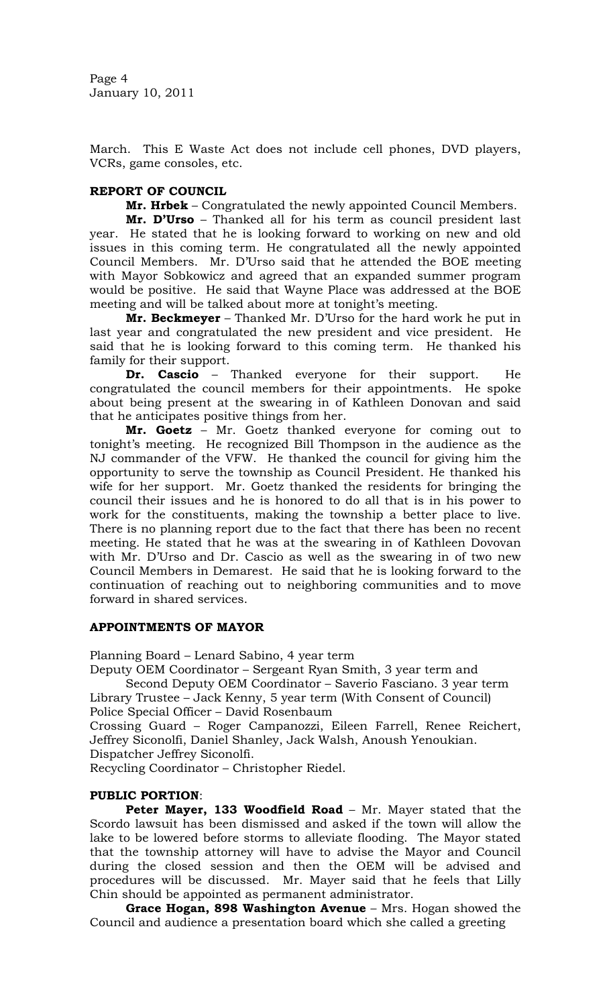Page 4 January 10, 2011

March. This E Waste Act does not include cell phones, DVD players, VCRs, game consoles, etc.

## **REPORT OF COUNCIL**

**Mr. Hrbek** – Congratulated the newly appointed Council Members.

**Mr. D'Urso** – Thanked all for his term as council president last year. He stated that he is looking forward to working on new and old issues in this coming term. He congratulated all the newly appointed Council Members. Mr. D'Urso said that he attended the BOE meeting with Mayor Sobkowicz and agreed that an expanded summer program would be positive. He said that Wayne Place was addressed at the BOE meeting and will be talked about more at tonight's meeting.

**Mr. Beckmeyer** – Thanked Mr. D'Urso for the hard work he put in last year and congratulated the new president and vice president. He said that he is looking forward to this coming term. He thanked his family for their support.

**Dr. Cascio** – Thanked everyone for their support. He congratulated the council members for their appointments. He spoke about being present at the swearing in of Kathleen Donovan and said that he anticipates positive things from her.

**Mr. Goetz** – Mr. Goetz thanked everyone for coming out to tonight's meeting. He recognized Bill Thompson in the audience as the NJ commander of the VFW. He thanked the council for giving him the opportunity to serve the township as Council President. He thanked his wife for her support. Mr. Goetz thanked the residents for bringing the council their issues and he is honored to do all that is in his power to work for the constituents, making the township a better place to live. There is no planning report due to the fact that there has been no recent meeting. He stated that he was at the swearing in of Kathleen Dovovan with Mr. D'Urso and Dr. Cascio as well as the swearing in of two new Council Members in Demarest. He said that he is looking forward to the continuation of reaching out to neighboring communities and to move forward in shared services.

## **APPOINTMENTS OF MAYOR**

Planning Board – Lenard Sabino, 4 year term

Deputy OEM Coordinator – Sergeant Ryan Smith, 3 year term and

Second Deputy OEM Coordinator – Saverio Fasciano. 3 year term Library Trustee – Jack Kenny, 5 year term (With Consent of Council)

Police Special Officer – David Rosenbaum

Crossing Guard – Roger Campanozzi, Eileen Farrell, Renee Reichert, Jeffrey Siconolfi, Daniel Shanley, Jack Walsh, Anoush Yenoukian. Dispatcher Jeffrey Siconolfi.

Recycling Coordinator – Christopher Riedel.

# **PUBLIC PORTION**:

**Peter Mayer, 133 Woodfield Road** – Mr. Mayer stated that the Scordo lawsuit has been dismissed and asked if the town will allow the lake to be lowered before storms to alleviate flooding. The Mayor stated that the township attorney will have to advise the Mayor and Council during the closed session and then the OEM will be advised and procedures will be discussed. Mr. Mayer said that he feels that Lilly Chin should be appointed as permanent administrator.

**Grace Hogan, 898 Washington Avenue** – Mrs. Hogan showed the Council and audience a presentation board which she called a greeting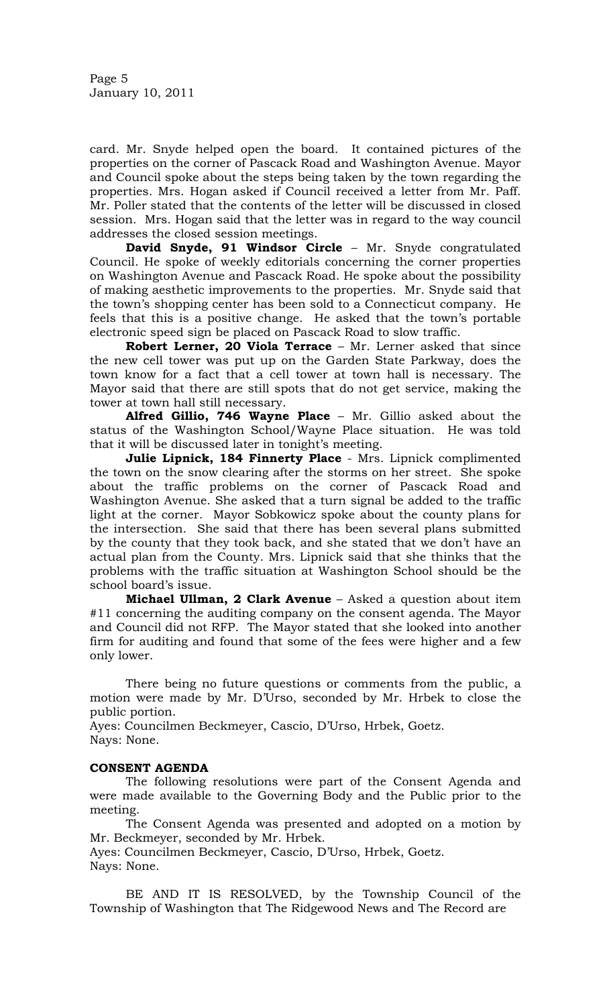card. Mr. Snyde helped open the board. It contained pictures of the properties on the corner of Pascack Road and Washington Avenue. Mayor and Council spoke about the steps being taken by the town regarding the properties. Mrs. Hogan asked if Council received a letter from Mr. Paff. Mr. Poller stated that the contents of the letter will be discussed in closed session. Mrs. Hogan said that the letter was in regard to the way council addresses the closed session meetings.

**David Snyde, 91 Windsor Circle** – Mr. Snyde congratulated Council. He spoke of weekly editorials concerning the corner properties on Washington Avenue and Pascack Road. He spoke about the possibility of making aesthetic improvements to the properties. Mr. Snyde said that the town's shopping center has been sold to a Connecticut company. He feels that this is a positive change. He asked that the town's portable electronic speed sign be placed on Pascack Road to slow traffic.

**Robert Lerner, 20 Viola Terrace** – Mr. Lerner asked that since the new cell tower was put up on the Garden State Parkway, does the town know for a fact that a cell tower at town hall is necessary. The Mayor said that there are still spots that do not get service, making the tower at town hall still necessary.

**Alfred Gillio, 746 Wayne Place** – Mr. Gillio asked about the status of the Washington School/Wayne Place situation. He was told that it will be discussed later in tonight's meeting.

**Julie Lipnick, 184 Finnerty Place** - Mrs. Lipnick complimented the town on the snow clearing after the storms on her street. She spoke about the traffic problems on the corner of Pascack Road and Washington Avenue. She asked that a turn signal be added to the traffic light at the corner. Mayor Sobkowicz spoke about the county plans for the intersection. She said that there has been several plans submitted by the county that they took back, and she stated that we don't have an actual plan from the County. Mrs. Lipnick said that she thinks that the problems with the traffic situation at Washington School should be the school board's issue.

**Michael Ullman, 2 Clark Avenue** – Asked a question about item #11 concerning the auditing company on the consent agenda. The Mayor and Council did not RFP. The Mayor stated that she looked into another firm for auditing and found that some of the fees were higher and a few only lower.

 There being no future questions or comments from the public, a motion were made by Mr. D'Urso, seconded by Mr. Hrbek to close the public portion.

Ayes: Councilmen Beckmeyer, Cascio, D'Urso, Hrbek, Goetz. Nays: None.

# **CONSENT AGENDA**

 The following resolutions were part of the Consent Agenda and were made available to the Governing Body and the Public prior to the meeting.

The Consent Agenda was presented and adopted on a motion by Mr. Beckmeyer, seconded by Mr. Hrbek.

Ayes: Councilmen Beckmeyer, Cascio, D'Urso, Hrbek, Goetz. Nays: None.

BE AND IT IS RESOLVED, by the Township Council of the Township of Washington that The Ridgewood News and The Record are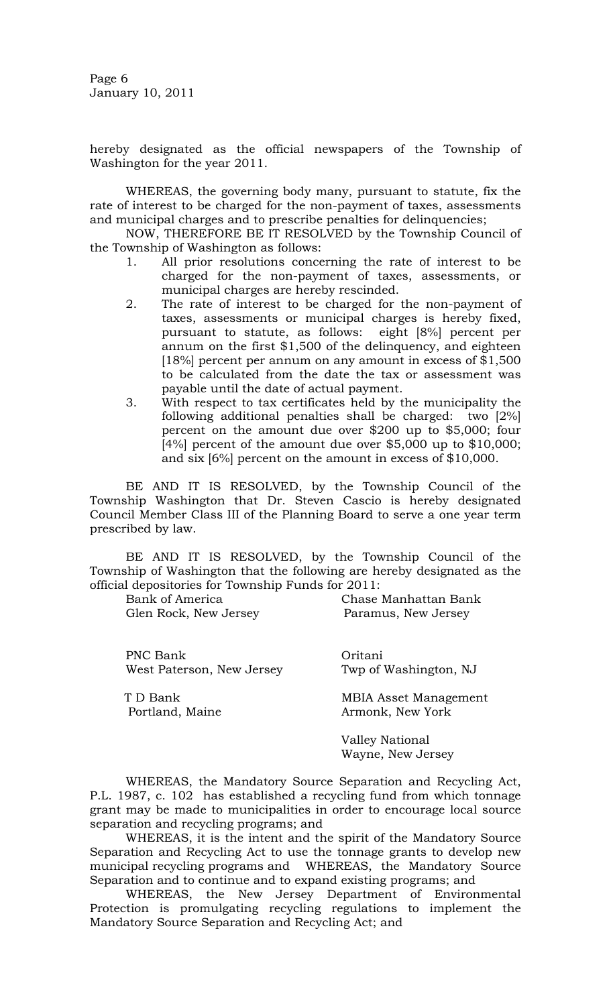Page 6 January 10, 2011

hereby designated as the official newspapers of the Township of Washington for the year 2011.

 WHEREAS, the governing body many, pursuant to statute, fix the rate of interest to be charged for the non-payment of taxes, assessments and municipal charges and to prescribe penalties for delinquencies;

 NOW, THEREFORE BE IT RESOLVED by the Township Council of the Township of Washington as follows:

- 1. All prior resolutions concerning the rate of interest to be charged for the non-payment of taxes, assessments, or municipal charges are hereby rescinded.
- 2. The rate of interest to be charged for the non-payment of taxes, assessments or municipal charges is hereby fixed, pursuant to statute, as follows: eight [8%] percent per annum on the first \$1,500 of the delinquency, and eighteen [18%] percent per annum on any amount in excess of \$1,500 to be calculated from the date the tax or assessment was payable until the date of actual payment.
- 3. With respect to tax certificates held by the municipality the following additional penalties shall be charged: two [2%] percent on the amount due over \$200 up to \$5,000; four [4%] percent of the amount due over \$5,000 up to \$10,000; and six [6%] percent on the amount in excess of \$10,000.

BE AND IT IS RESOLVED, by the Township Council of the Township Washington that Dr. Steven Cascio is hereby designated Council Member Class III of the Planning Board to serve a one year term prescribed by law.

 BE AND IT IS RESOLVED, by the Township Council of the Township of Washington that the following are hereby designated as the official depositories for Township Funds for 2011:

| Bank of America           | Chase Manhattan Bank                 |
|---------------------------|--------------------------------------|
| Glen Rock, New Jersey     | Paramus, New Jersey                  |
| PNC Bank                  | Oritani                              |
| West Paterson, New Jersey | Twp of Washington, NJ                |
| T D Bank                  | <b>MBIA Asset Management</b>         |
| Portland, Maine           | Armonk, New York                     |
|                           | Valley National<br>Wayne, New Jersey |

WHEREAS, the Mandatory Source Separation and Recycling Act, P.L. 1987, c. 102 has established a recycling fund from which tonnage grant may be made to municipalities in order to encourage local source separation and recycling programs; and

 WHEREAS, it is the intent and the spirit of the Mandatory Source Separation and Recycling Act to use the tonnage grants to develop new municipal recycling programs and WHEREAS, the Mandatory Source Separation and to continue and to expand existing programs; and

 WHEREAS, the New Jersey Department of Environmental Protection is promulgating recycling regulations to implement the Mandatory Source Separation and Recycling Act; and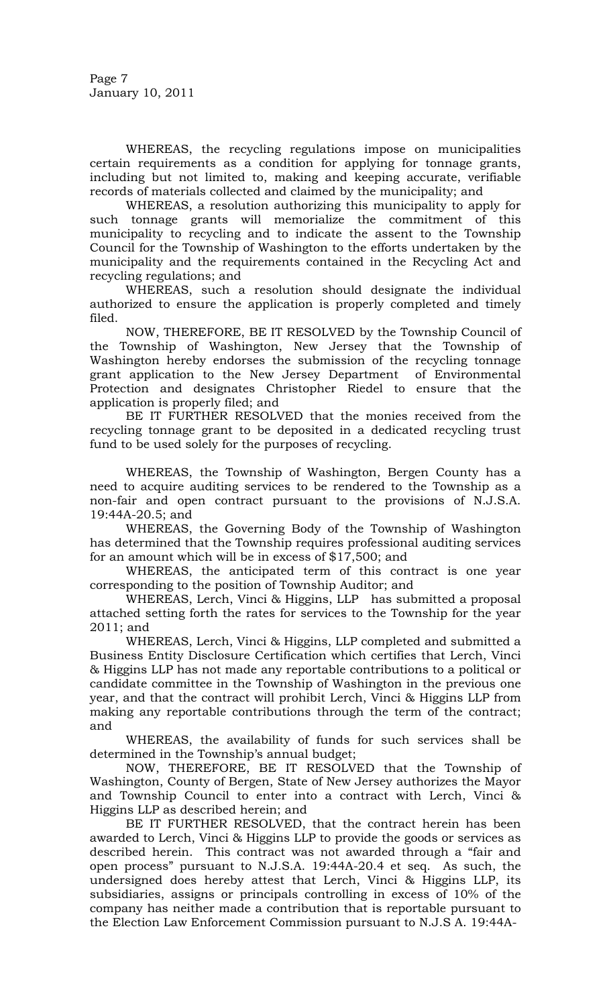Page 7 January 10, 2011

WHEREAS, the recycling regulations impose on municipalities certain requirements as a condition for applying for tonnage grants, including but not limited to, making and keeping accurate, verifiable records of materials collected and claimed by the municipality; and

 WHEREAS, a resolution authorizing this municipality to apply for such tonnage grants will memorialize the commitment of this municipality to recycling and to indicate the assent to the Township Council for the Township of Washington to the efforts undertaken by the municipality and the requirements contained in the Recycling Act and recycling regulations; and

 WHEREAS, such a resolution should designate the individual authorized to ensure the application is properly completed and timely filed.

 NOW, THEREFORE, BE IT RESOLVED by the Township Council of the Township of Washington, New Jersey that the Township of Washington hereby endorses the submission of the recycling tonnage grant application to the New Jersey Department of Environmental Protection and designates Christopher Riedel to ensure that the application is properly filed; and

 BE IT FURTHER RESOLVED that the monies received from the recycling tonnage grant to be deposited in a dedicated recycling trust fund to be used solely for the purposes of recycling.

WHEREAS, the Township of Washington, Bergen County has a need to acquire auditing services to be rendered to the Township as a non-fair and open contract pursuant to the provisions of N.J.S.A. 19:44A-20.5; and

WHEREAS, the Governing Body of the Township of Washington has determined that the Township requires professional auditing services for an amount which will be in excess of \$17,500; and

WHEREAS, the anticipated term of this contract is one year corresponding to the position of Township Auditor; and

WHEREAS, Lerch, Vinci & Higgins, LLP has submitted a proposal attached setting forth the rates for services to the Township for the year 2011; and

WHEREAS, Lerch, Vinci & Higgins, LLP completed and submitted a Business Entity Disclosure Certification which certifies that Lerch, Vinci & Higgins LLP has not made any reportable contributions to a political or candidate committee in the Township of Washington in the previous one year, and that the contract will prohibit Lerch, Vinci & Higgins LLP from making any reportable contributions through the term of the contract; and

WHEREAS, the availability of funds for such services shall be determined in the Township's annual budget;

NOW, THEREFORE, BE IT RESOLVED that the Township of Washington, County of Bergen, State of New Jersey authorizes the Mayor and Township Council to enter into a contract with Lerch, Vinci & Higgins LLP as described herein; and

BE IT FURTHER RESOLVED, that the contract herein has been awarded to Lerch, Vinci & Higgins LLP to provide the goods or services as described herein. This contract was not awarded through a "fair and open process" pursuant to N.J.S.A. 19:44A-20.4 et seq. As such, the undersigned does hereby attest that Lerch, Vinci & Higgins LLP, its subsidiaries, assigns or principals controlling in excess of 10% of the company has neither made a contribution that is reportable pursuant to the Election Law Enforcement Commission pursuant to N.J.S A. 19:44A-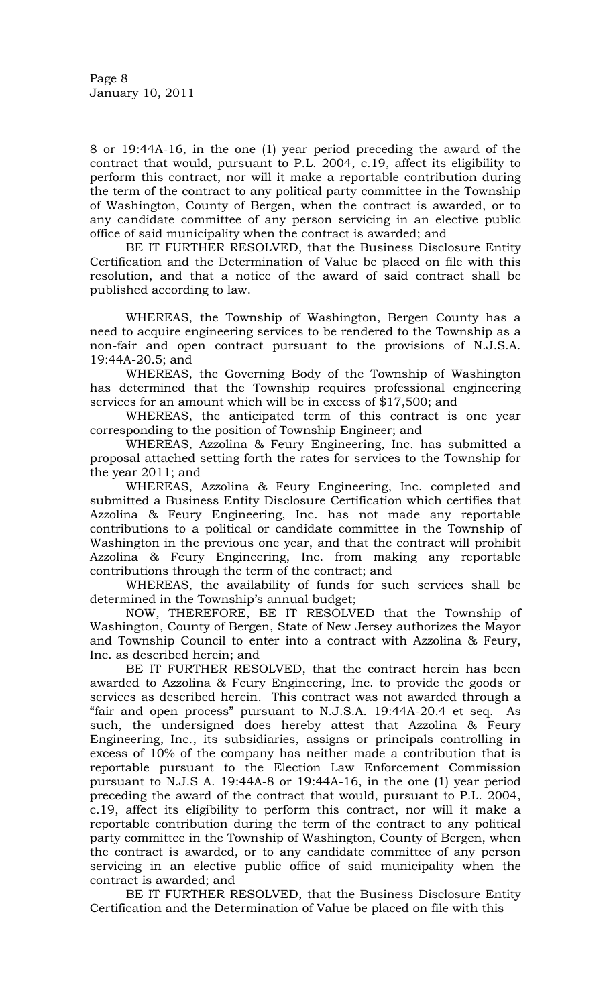8 or 19:44A-16, in the one (1) year period preceding the award of the contract that would, pursuant to P.L. 2004, c.19, affect its eligibility to perform this contract, nor will it make a reportable contribution during the term of the contract to any political party committee in the Township of Washington, County of Bergen, when the contract is awarded, or to any candidate committee of any person servicing in an elective public office of said municipality when the contract is awarded; and

BE IT FURTHER RESOLVED, that the Business Disclosure Entity Certification and the Determination of Value be placed on file with this resolution, and that a notice of the award of said contract shall be published according to law.

WHEREAS, the Township of Washington, Bergen County has a need to acquire engineering services to be rendered to the Township as a non-fair and open contract pursuant to the provisions of N.J.S.A. 19:44A-20.5; and

WHEREAS, the Governing Body of the Township of Washington has determined that the Township requires professional engineering services for an amount which will be in excess of \$17,500; and

WHEREAS, the anticipated term of this contract is one year corresponding to the position of Township Engineer; and

WHEREAS, Azzolina & Feury Engineering, Inc. has submitted a proposal attached setting forth the rates for services to the Township for the year 2011; and

WHEREAS, Azzolina & Feury Engineering, Inc. completed and submitted a Business Entity Disclosure Certification which certifies that Azzolina & Feury Engineering, Inc. has not made any reportable contributions to a political or candidate committee in the Township of Washington in the previous one year, and that the contract will prohibit Azzolina & Feury Engineering, Inc. from making any reportable contributions through the term of the contract; and

WHEREAS, the availability of funds for such services shall be determined in the Township's annual budget;

NOW, THEREFORE, BE IT RESOLVED that the Township of Washington, County of Bergen, State of New Jersey authorizes the Mayor and Township Council to enter into a contract with Azzolina & Feury, Inc. as described herein; and

BE IT FURTHER RESOLVED, that the contract herein has been awarded to Azzolina & Feury Engineering, Inc. to provide the goods or services as described herein. This contract was not awarded through a "fair and open process" pursuant to N.J.S.A. 19:44A-20.4 et seq. As such, the undersigned does hereby attest that Azzolina & Feury Engineering, Inc., its subsidiaries, assigns or principals controlling in excess of 10% of the company has neither made a contribution that is reportable pursuant to the Election Law Enforcement Commission pursuant to N.J.S A. 19:44A-8 or 19:44A-16, in the one (1) year period preceding the award of the contract that would, pursuant to P.L. 2004, c.19, affect its eligibility to perform this contract, nor will it make a reportable contribution during the term of the contract to any political party committee in the Township of Washington, County of Bergen, when the contract is awarded, or to any candidate committee of any person servicing in an elective public office of said municipality when the contract is awarded; and

BE IT FURTHER RESOLVED, that the Business Disclosure Entity Certification and the Determination of Value be placed on file with this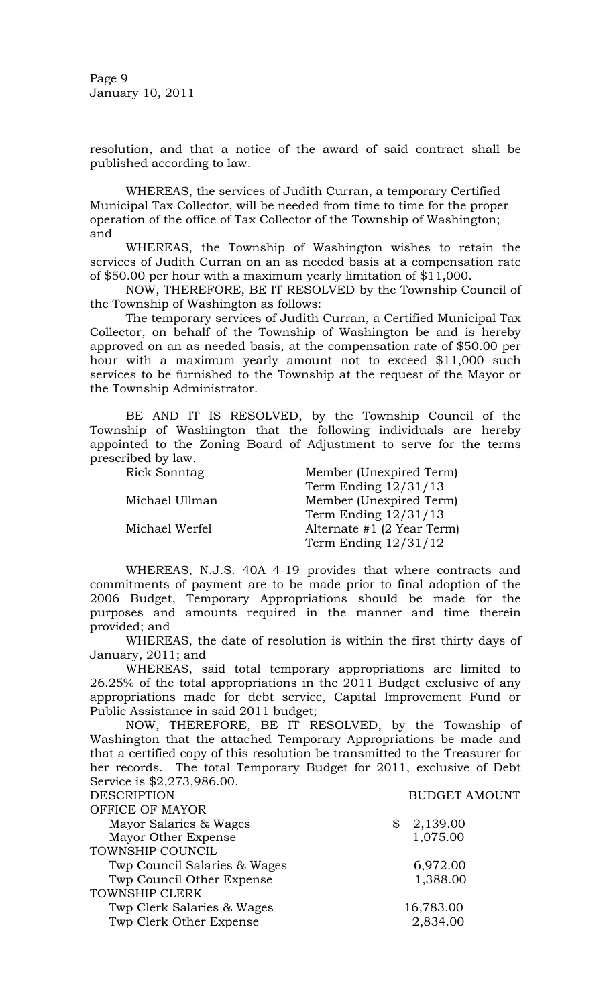Page 9 January 10, 2011

resolution, and that a notice of the award of said contract shall be published according to law.

WHEREAS, the services of Judith Curran, a temporary Certified Municipal Tax Collector, will be needed from time to time for the proper operation of the office of Tax Collector of the Township of Washington; and

 WHEREAS, the Township of Washington wishes to retain the services of Judith Curran on an as needed basis at a compensation rate of \$50.00 per hour with a maximum yearly limitation of \$11,000.

 NOW, THEREFORE, BE IT RESOLVED by the Township Council of the Township of Washington as follows:

 The temporary services of Judith Curran, a Certified Municipal Tax Collector, on behalf of the Township of Washington be and is hereby approved on an as needed basis, at the compensation rate of \$50.00 per hour with a maximum yearly amount not to exceed \$11,000 such services to be furnished to the Township at the request of the Mayor or the Township Administrator.

BE AND IT IS RESOLVED, by the Township Council of the Township of Washington that the following individuals are hereby appointed to the Zoning Board of Adjustment to serve for the terms prescribed by law.

| Rick Sonntag   | Member (Unexpired Term)      |
|----------------|------------------------------|
|                | Term Ending $12/31/13$       |
| Michael Ullman | Member (Unexpired Term)      |
|                | Term Ending $12/31/13$       |
| Michael Werfel | Alternate $#1$ (2 Year Term) |
|                | Term Ending $12/31/12$       |

WHEREAS, N.J.S. 40A 4-19 provides that where contracts and commitments of payment are to be made prior to final adoption of the 2006 Budget, Temporary Appropriations should be made for the purposes and amounts required in the manner and time therein provided; and

 WHEREAS, the date of resolution is within the first thirty days of January, 2011; and

 WHEREAS, said total temporary appropriations are limited to 26.25% of the total appropriations in the 2011 Budget exclusive of any appropriations made for debt service, Capital Improvement Fund or Public Assistance in said 2011 budget;

 NOW, THEREFORE, BE IT RESOLVED, by the Township of Washington that the attached Temporary Appropriations be made and that a certified copy of this resolution be transmitted to the Treasurer for her records. The total Temporary Budget for 2011, exclusive of Debt Service is \$2,273,986.00. DESCRIPTION BUDGET AMOUNT

| DESCRIPTION                  | BUDGET AMOU    |
|------------------------------|----------------|
| OFFICE OF MAYOR              |                |
| Mayor Salaries & Wages       | \$<br>2,139.00 |
| Mayor Other Expense          | 1,075.00       |
| TOWNSHIP COUNCIL             |                |
| Twp Council Salaries & Wages | 6,972.00       |
| Twp Council Other Expense    | 1,388.00       |
| <b>TOWNSHIP CLERK</b>        |                |
| Twp Clerk Salaries & Wages   | 16,783.00      |
| Twp Clerk Other Expense      | 2,834.00       |
|                              |                |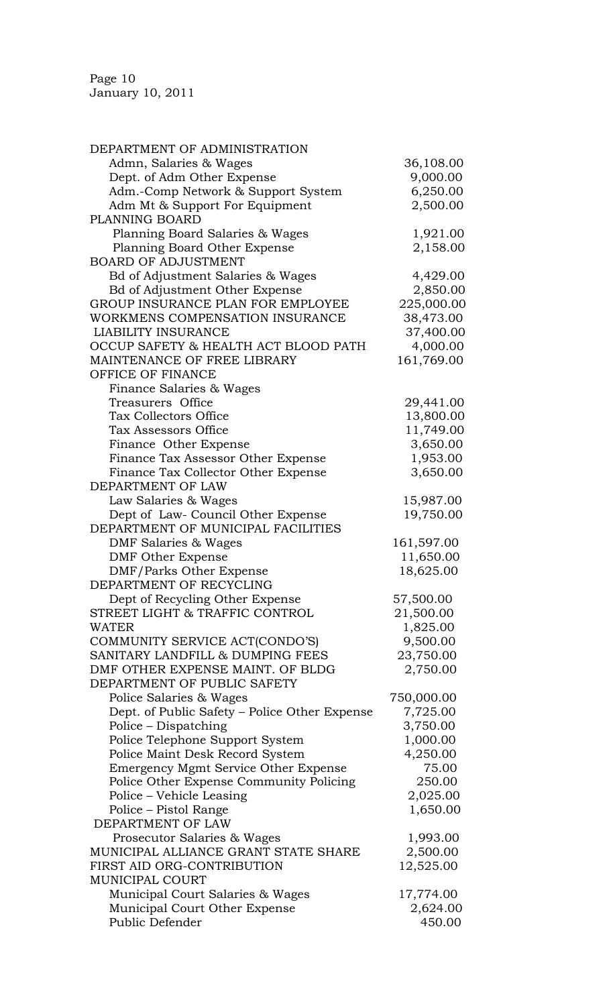Page 10 January 10, 2011

| DEPARTMENT OF ADMINISTRATION                       |            |
|----------------------------------------------------|------------|
| Admn, Salaries & Wages                             | 36,108.00  |
| Dept. of Adm Other Expense                         | 9,000.00   |
| Adm.-Comp Network & Support System                 | 6,250.00   |
| Adm Mt & Support For Equipment                     | 2,500.00   |
| PLANNING BOARD                                     |            |
| Planning Board Salaries & Wages                    | 1,921.00   |
| Planning Board Other Expense                       | 2,158.00   |
| <b>BOARD OF ADJUSTMENT</b>                         |            |
| Bd of Adjustment Salaries & Wages                  | 4,429.00   |
| <b>Bd of Adjustment Other Expense</b>              | 2,850.00   |
| GROUP INSURANCE PLAN FOR EMPLOYEE                  |            |
|                                                    | 225,000.00 |
| WORKMENS COMPENSATION INSURANCE                    | 38,473.00  |
| <b>LIABILITY INSURANCE</b>                         | 37,400.00  |
| OCCUP SAFETY & HEALTH ACT BLOOD PATH               | 4,000.00   |
| MAINTENANCE OF FREE LIBRARY                        | 161,769.00 |
| OFFICE OF FINANCE                                  |            |
| Finance Salaries & Wages                           |            |
| Treasurers Office                                  | 29,441.00  |
| <b>Tax Collectors Office</b>                       | 13,800.00  |
| Tax Assessors Office                               | 11,749.00  |
| Finance Other Expense                              | 3,650.00   |
| Finance Tax Assessor Other Expense                 | 1,953.00   |
| Finance Tax Collector Other Expense                | 3,650.00   |
| DEPARTMENT OF LAW                                  |            |
| Law Salaries & Wages                               | 15,987.00  |
| Dept of Law- Council Other Expense                 | 19,750.00  |
| DEPARTMENT OF MUNICIPAL FACILITIES                 |            |
| DMF Salaries & Wages                               | 161,597.00 |
| <b>DMF Other Expense</b>                           | 11,650.00  |
|                                                    |            |
| DMF/Parks Other Expense<br>DEPARTMENT OF RECYCLING | 18,625.00  |
|                                                    |            |
| Dept of Recycling Other Expense                    | 57,500.00  |
| STREET LIGHT & TRAFFIC CONTROL                     | 21,500.00  |
| WATER                                              | 1,825.00   |
| COMMUNITY SERVICE ACT(CONDO'S)                     | 9,500.00   |
| SANITARY LANDFILL & DUMPING FEES                   | 23,750.00  |
| DMF OTHER EXPENSE MAINT. OF BLDG                   | 2,750.00   |
| DEPARTMENT OF PUBLIC SAFETY                        |            |
| Police Salaries & Wages                            | 750,000.00 |
| Dept. of Public Safety – Police Other Expense      | 7,725.00   |
| Police – Dispatching                               | 3,750.00   |
| Police Telephone Support System                    | 1,000.00   |
| Police Maint Desk Record System                    | 4,250.00   |
| Emergency Mgmt Service Other Expense               | 75.00      |
| Police Other Expense Community Policing            | 250.00     |
| Police – Vehicle Leasing                           | 2,025.00   |
| Police - Pistol Range                              | 1,650.00   |
| DEPARTMENT OF LAW                                  |            |
| Prosecutor Salaries & Wages                        | 1,993.00   |
| MUNICIPAL ALLIANCE GRANT STATE SHARE               | 2,500.00   |
| FIRST AID ORG-CONTRIBUTION                         | 12,525.00  |
| <b>MUNICIPAL COURT</b>                             |            |
| Municipal Court Salaries & Wages                   | 17,774.00  |
| Municipal Court Other Expense                      | 2,624.00   |
| Public Defender                                    | 450.00     |
|                                                    |            |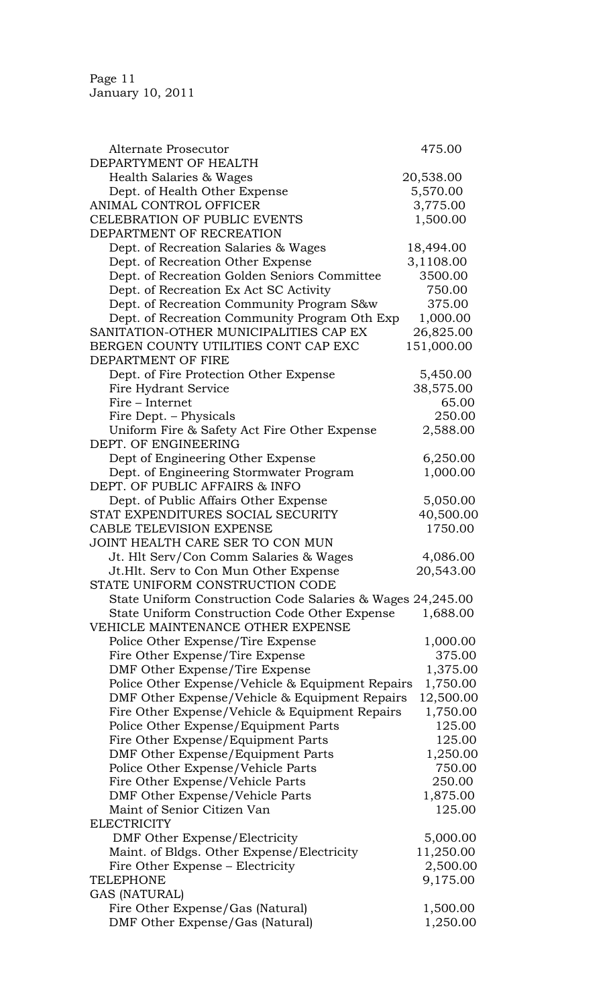| <b>Alternate Prosecutor</b>                                               | 475.00     |
|---------------------------------------------------------------------------|------------|
| DEPARTYMENT OF HEALTH                                                     |            |
| Health Salaries & Wages                                                   | 20,538.00  |
| Dept. of Health Other Expense                                             | 5,570.00   |
| ANIMAL CONTROL OFFICER                                                    | 3,775.00   |
| <b>CELEBRATION OF PUBLIC EVENTS</b>                                       |            |
| DEPARTMENT OF RECREATION                                                  | 1,500.00   |
| Dept. of Recreation Salaries & Wages                                      | 18,494.00  |
| Dept. of Recreation Other Expense                                         | 3,1108.00  |
| Dept. of Recreation Golden Seniors Committee                              | 3500.00    |
| Dept. of Recreation Ex Act SC Activity                                    | 750.00     |
| Dept. of Recreation Community Program S&w                                 | 375.00     |
| Dept. of Recreation Community Program Oth Exp                             | 1,000.00   |
| SANITATION-OTHER MUNICIPALITIES CAP EX                                    | 26,825.00  |
|                                                                           |            |
| BERGEN COUNTY UTILITIES CONT CAP EXC                                      | 151,000.00 |
| DEPARTMENT OF FIRE                                                        |            |
| Dept. of Fire Protection Other Expense                                    | 5,450.00   |
| Fire Hydrant Service                                                      | 38,575.00  |
| Fire - Internet                                                           | 65.00      |
| Fire Dept. – Physicals                                                    | 250.00     |
| Uniform Fire & Safety Act Fire Other Expense                              | 2,588.00   |
| DEPT. OF ENGINEERING                                                      |            |
| Dept of Engineering Other Expense                                         | 6,250.00   |
| Dept. of Engineering Stormwater Program<br>DEPT. OF PUBLIC AFFAIRS & INFO | 1,000.00   |
| Dept. of Public Affairs Other Expense                                     | 5,050.00   |
| STAT EXPENDITURES SOCIAL SECURITY                                         | 40,500.00  |
| <b>CABLE TELEVISION EXPENSE</b>                                           | 1750.00    |
| JOINT HEALTH CARE SER TO CON MUN                                          |            |
| Jt. Hlt Serv/Con Comm Salaries & Wages                                    | 4,086.00   |
| Jt. Hlt. Serv to Con Mun Other Expense                                    | 20,543.00  |
| STATE UNIFORM CONSTRUCTION CODE                                           |            |
| State Uniform Construction Code Salaries & Wages 24,245.00                |            |
| State Uniform Construction Code Other Expense                             | 1,688.00   |
| VEHICLE MAINTENANCE OTHER EXPENSE                                         |            |
| Police Other Expense/Tire Expense                                         | 1,000.00   |
| Fire Other Expense/Tire Expense                                           | 375.00     |
| DMF Other Expense/Tire Expense                                            | 1,375.00   |
| Police Other Expense/Vehicle & Equipment Repairs                          | 1,750.00   |
| DMF Other Expense/Vehicle & Equipment Repairs                             | 12,500.00  |
| Fire Other Expense/Vehicle & Equipment Repairs                            | 1,750.00   |
| Police Other Expense/Equipment Parts                                      | 125.00     |
| Fire Other Expense/Equipment Parts                                        | 125.00     |
|                                                                           |            |
| DMF Other Expense/Equipment Parts                                         | 1,250.00   |
| Police Other Expense/Vehicle Parts                                        | 750.00     |
| Fire Other Expense/Vehicle Parts                                          | 250.00     |
| DMF Other Expense/Vehicle Parts                                           | 1,875.00   |
| Maint of Senior Citizen Van                                               | 125.00     |
| <b>ELECTRICITY</b>                                                        |            |
| DMF Other Expense/Electricity                                             | 5,000.00   |
| Maint. of Bldgs. Other Expense/Electricity                                | 11,250.00  |
| Fire Other Expense - Electricity                                          | 2,500.00   |
| <b>TELEPHONE</b>                                                          | 9,175.00   |
| GAS (NATURAL)                                                             |            |
| Fire Other Expense/Gas (Natural)                                          | 1,500.00   |
| DMF Other Expense/Gas (Natural)                                           | 1,250.00   |
|                                                                           |            |